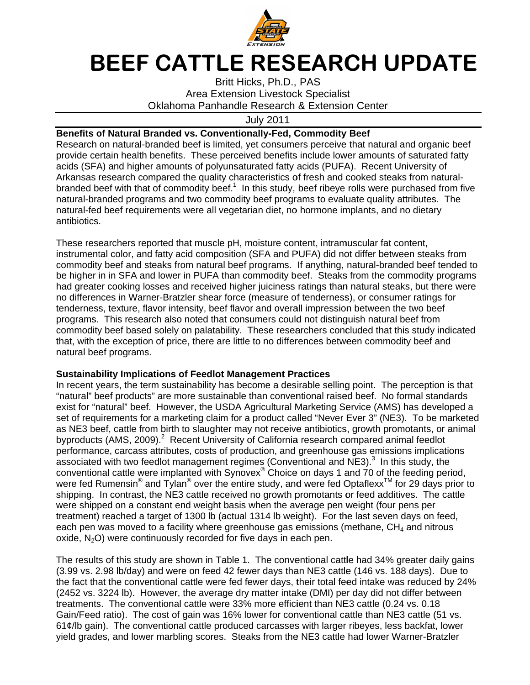

## BEEF CATTLE RESEARCH UPDATE

Oklahoma Panhandle Research & Extension Center Britt Hicks, Ph.D., PAS **Area Extension Livestock Specialist** 

July July 2011

## **Benefits of Natural Branded vs. Conventionally-Fed, Commodity Beef**

Research on natural-branded beef is limited, yet consumers perceive that natural and organic beef provide certain health benefits. These perceived benefits include lower amounts of saturated fatty provide certain health benefits. These perceived benefits include lower amounts of saturated<br>acids (SFA) and higher amounts of polyunsaturated fatty acids (PUFA). Recent University of Arkansas research compared the quality characteristics of fresh and cooked steaks from naturalbranded beef with that of commodity beef.<sup>1</sup> In this study, beef ribeye rolls were purchased from five natural-branded programs and two commodity beef programs to evaluate quality attributes. natural-fed beef requirements were all vegetarian diet, no hormone implants, and no dietary antibiotics. antibiotics. natural-branded programs and two commodity beef programs to evaluate quality attributes.<br>natural-fed beef requirements were all vegetarian diet, no hormone implants, and no dietary<br>antibiotics.<br>These researchers reported t Research on natural-branded beef is limited, yet consumers perceive that natural and organic be<br>provide certain health benefits. These perceived benefits include lower amounts of saturated fa<br>acids (SFA) and higher amounts ain health benefits. These perceived benefits include lower amounts<br>and higher amounts of polyunsaturated fatty acids (PUFA). Recent l<br>search compared the quality characteristics of fresh and cooked stea<br>f with that of com arch on natural-branded beef is limited, yet consumers perceive that natural and organic beef<br>le certain health benefits. These perceived benefits include lower amounts of saturated fatty<br>(SFA) and higher amounts of polyu n this study, beef ribeye rolls were purchase<br>iy beef programs to evaluate quality attribute<br>arian diet, no hormone implants, and no dieta<br>moisture content, intramuscular fat content, The

These researchers reported that muscle pH, moisture content, intramuscular fat content,<br>instrumental color, and fatty acid composition (SFA and PUFA) did not differ between steaks from instrumental color, and fatty acid composition (SFA and PUFA) did not differ between steaks from<br>commodity beef and steaks from natural beef programs. If anything, natural-branded beef tended to commodity beef and steaks from natural beef programs. If anything, natural-branded beef tended to<br>be higher in in SFA and lower in PUFA than commodity beef. Steaks from the commodity programs had greater cooking losses and received higher juiciness ratings than natural steaks, but there were no differences in Warner tenderness, texture, flavor intensity, beef flavor and overall impression between the two beef programs. This research also noted that programs. This research also noted that consumers could not distinguish natural beef from<br>commodity beef based solely on palatability. These researchers concluded that this study indicated tenderness, texture, flavor intensity, beef flavor and overall impression between the two beef<br>programs. This research also noted that consumers could not distinguish natural beef from<br>commodity beef based solely on palata natural beef programs. programs. that, with the exception of price, there are little to no differences between commodity beef and<br>natural beef programs.<br>**Sustainability Implications of Feedlot Management Practices**<br>In recent years, the term sustainability had greater cooking losses and received higher juiciness ratings than natural steaks, but there v<br>no differences in Warner-Bratzler shear force (measure of tenderness), or consumer ratings for<br>tenderness, texture, flavor i ents were all vegetarian diet, no hormone implants, and no dietary<br>ed that muscle pH, moisture content, intramuscular fat content,<br>tty acid composition (SFA and PUFA) did not differ between steaks<br>ks from natural beef prog modity beef and steaks from natural beef programs. If anything, natural-branded beef te<br>igher in in SFA and lower in PUFA than commodity beef. Steaks from the commodity pi<br>greater cooking losses and received higher juicine These researchers concluded that this study indicate<br>to no differences between commodity beef and<br>agement Practices<br>come a desirable selling point. The perception is tha<br>than conventional raised beef. No formal standards odity beef programs to evaluate quality attributes. The<br>getarian diet, no hormone implants, and no dietary<br>bH, moisture content, intramuscular fat content,<br>ition (SFA and PUFA) did not differ between steaks from<br>poeef prog

## **Sustainability Implications of Feedlot Management Practices**

"natural" beef products" are more sustainable than conventional raised beef. "natural" beef products" are more sustainable than conventional<br>exist for "natural" beef. However, the USDA Agricultural Marketi set of requirements for a marketing claim for a product called "Never Ever 3" (NE3). To be marketed set of requirements for a marketing claim for a product called "Never Ever 3" (NE3). To b<br>as NE3 beef, cattle from birth to slaughter may not receive antibiotics, growth promotants, as NE3 beef, cattle from birth to slaughter may not receive antibiotics, growth promotants,<br>byproducts (AMS, 2009).<sup>2</sup> Recent University of California research compared animal feec performance, carcass attributes, costs of production, and greenhouse gas emissions implications performance, carcass attributes, costs of production, and greenhouse gas  $\epsilon$ <br>associated with two feedlot management regimes (Conventional and NE3). conventional cattle were implanted with Synovex Synovex conventional cattle were implanted with Synovex<sup>®</sup> Choice on days 1 and 70 of the feeding period,<br>were fed Rumensin<sup>®</sup> and Tylan<sup>®</sup> over the entire study, and were fed Optaflexx™ for 29 days prior to shipping. In contrast, the NE3 cattle received no growth promotants or feed additives. The cattle shipping. In contrast, the NE3 cattle received no growth promotants or feed additives. The<br>were shipped on a constant end weight basis when the average pen weight (four pens per treatment) reached a target of 1300 lb (actual 1314 lb weight). For the last seven days on feed, each pen was moved to a facility where greenhouse gas emissions (methane, CH<sub>4</sub> and nitrous were shipped on a constant end weight basis when the average perfeatment) reached a target of 1300 lb (actual 1314 lb weight). For<br>each pen was moved to a facility where greenhouse gas emissions<br>oxide, N<sub>2</sub>O) were continuo Menominal Readers on the conventional rivestock Specialist Change (2018)<br> **Benefits of Natural Branded vs. Conventionally Fed.** Commodity Beef<br>
Research on natural-branded beef is limited yer conventions perceive that natu commodity beef based solely on palatability. These researchers concluded that this study<br>that, with the exception of price, there are little to no differences between commodity beef<br>natural beef programs.<br>**Sustainability I** In contrast, the NE3 cattle received no growth promotants or feed additives. The cattle pped on a constant end weight basis when the average pen weight (four pens per i) reached a target of 1300 lb (actual 1314 lb weight) BEEF CATTLE RESEE RESEARCH UNIT BARK SUNDUM BETT THINGS PROFILE THINGS PROFILE THINGS PROFILE AND ASSOCIATED AND THAN THE SERVICE OF A SUNDING THE STATISTIC ON THE STATISTIC OF THE STATISTIC CONVERTING THE STATISTIC CONVE the USDA Agricultural Marketing Service (AMS) has developed a Marketing Service (AMS) has developed a associated with two feedlot management regimes (Conventional and NE3).<sup>3</sup> In this study, the conventional cattle were implanted with Synovex® Choice on days 1 and 70 of the feeding period, were fed Rumensin<sup>®</sup> and Tylan<sup>®</sup>  $\textdegree$  Choice on days 1 and 70 of the feeding period, over the entire study, and were fed Optaflexx<br>attle received no growth promotants or feed a<br>weight basis when the average pen weight (for<br>000 lb (actual 1314 lb weight). For the last se EXTE EXTENT Hindes, Ph.D., PAS<br> **EXTENT ANOTES ANOTES ANOTES ANOTES ANOTES ANOTES (CONTINGUES) FOR CONVENIDAM CHE RESEAR CONTINGUES CONTINGUES ANOTES ANOTES ANOTES ANOTES ANOTES ANOTES ANOTES ANOTES ANOTES ANOTES ANOTES AN** , carcass attributes, costs of production, and greenhouse gas emissio<br>ith two feedlot management regimes (Conventional and NE3).<sup>3</sup> In this<br>cattle were implanted with Synovex<sup>®</sup> Choice on days 1 and 70 of the<br>nensin<sup>®</sup> an r Ever 3" (NE3). To be m<br>:s, growth promotants, or<br>compared animal feedlot wo feedlot management regimes (Conventional and NE3).<sup>3</sup> In this study, the or animal In recent years, the term sustainability has become a desirable selling point. The perception is that al" beef products" are more sustainable than conventional raised beef. No formal standards or "natural" beef. However, the USDA Agricultural Marketing Service (AMS) has developed are elemption or instruction standards or

The results of this study are shown in Table 1. The conventional cattle had 34% greater daily gains (3.99 vs. 2.98 lb/day) and were on feed 42 fewer days than NE3 cattle (146 vs. 188 days). Due to the fact that the conventional cattle were fed fewer days, their total feed intake was reduce (2452 vs. 3224 lb). However, the average dry matter intake (DMI) per day did not differ between treatments. The conventional cattle were 33% more efficient than NE3 cattle (0.24 vs. 0.18 Gain/Feed ratio). The cost of gain was 16% lower for conventional cattle t 61¢/lb gain). The conventional cattle produced carcasses with larger ribeyes, less backfat, lower 61¢/lb gain). The conventional cattle produced carcasses with larger ribeyes, less backfat,<br>yield grades, and lower marbling scores. Steaks from the NE3 cattle had lower Warner-Bra ults of this study are shown in Table 1. The conventional cattle had 349<br>. 2.98 lb/day) and were on feed 42 fewer days than NE3 cattle (146 vs.<br>that the conventional cattle were fed fewer days, their total feed intake \<br>s. feed 42 fewer days than NE3 cattle (146 vs. 188<br>were fed fewer days, their total feed intake was<br>werage dry matter intake (DMI) per day did not d The conventional cattle were 33% more efficient than NE3 cattle (0.24 vs.<br>tio). The cost of gain was 16% lower for conventional cattle than NE3 cat<br>The conventional cattle produced carcasses with larger ribeyes, less bac<br>a The results of this study are shown in Table 1. The conventional cattle had 34% greater daily gains (3.99 vs. 2.98 lb/day) and were on feed 42 fewer days than NE3 cattle (146 vs. 188 days). Due to the fact that the convent than NE3 cattle (51 vs. erage dry matter intake (DMI) per day did not differ between<br>were 33% more efficient than NE3 cattle (0.24 vs. 0.18<br>as 16% lower for conventional cattle than NE3 cattle (51 vs.<br>produced carcasses with larger ribeyes, less